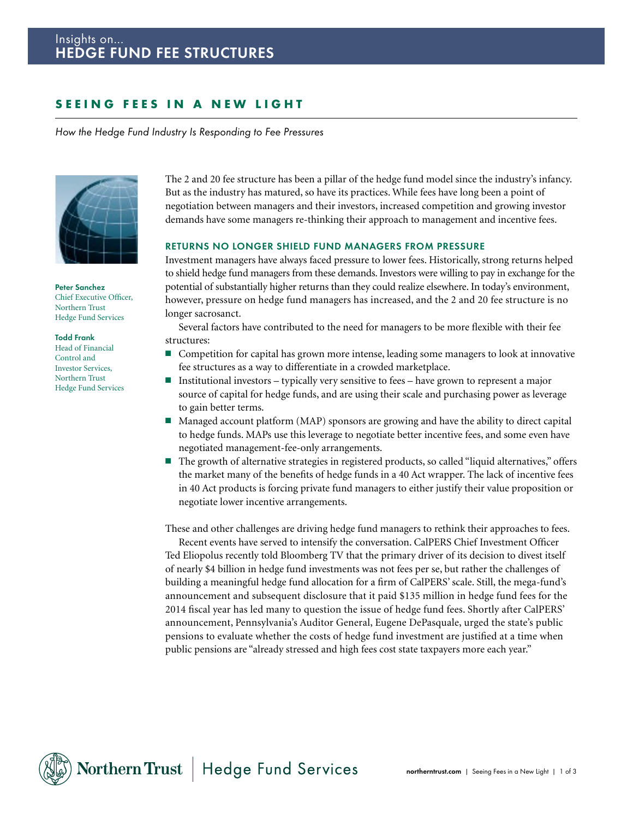# SEEING FEES IN A NEW LIGHT

*How the Hedge Fund Industry Is Responding to Fee Pressures*



**Peter Sanchez** Chief Executive Officer, Northern Trust Hedge Fund Services

#### **Todd Frank**

Head of Financial Control and Investor Services, Northern Trust Hedge Fund Services The 2 and 20 fee structure has been a pillar of the hedge fund model since the industry's infancy. But as the industry has matured, so have its practices. While fees have long been a point of negotiation between managers and their investors, increased competition and growing investor demands have some managers re-thinking their approach to management and incentive fees.

#### **RETURNS NO LONGER SHIELD FUND MANAGERS FROM PRESSURE**

Investment managers have always faced pressure to lower fees. Historically, strong returns helped to shield hedge fund managers from these demands. Investors were willing to pay in exchange for the potential of substantially higher returns than they could realize elsewhere. In today's environment, however, pressure on hedge fund managers has increased, and the 2 and 20 fee structure is no longer sacrosanct.

Several factors have contributed to the need for managers to be more flexible with their fee structures:

- Competition for capital has grown more intense, leading some managers to look at innovative fee structures as a way to differentiate in a crowded marketplace.
- Institutional investors typically very sensitive to fees have grown to represent a major source of capital for hedge funds, and are using their scale and purchasing power as leverage to gain better terms.
- Managed account platform (MAP) sponsors are growing and have the ability to direct capital to hedge funds. MAPs use this leverage to negotiate better incentive fees, and some even have negotiated management-fee-only arrangements.
- The growth of alternative strategies in registered products, so called "liquid alternatives," offers the market many of the benefits of hedge funds in a 40 Act wrapper. The lack of incentive fees in 40 Act products is forcing private fund managers to either justify their value proposition or negotiate lower incentive arrangements.

These and other challenges are driving hedge fund managers to rethink their approaches to fees.

Recent events have served to intensify the conversation. CalPERS Chief Investment Officer Ted Eliopolus recently told Bloomberg TV that the primary driver of its decision to divest itself of nearly \$4 billion in hedge fund investments was not fees per se, but rather the challenges of building a meaningful hedge fund allocation for a firm of CalPERS' scale. Still, the mega-fund's announcement and subsequent disclosure that it paid \$135 million in hedge fund fees for the 2014 fiscal year has led many to question the issue of hedge fund fees. Shortly after CalPERS' announcement, Pennsylvania's Auditor General, Eugene DePasquale, urged the state's public pensions to evaluate whether the costs of hedge fund investment are justified at a time when public pensions are "already stressed and high fees cost state taxpayers more each year."

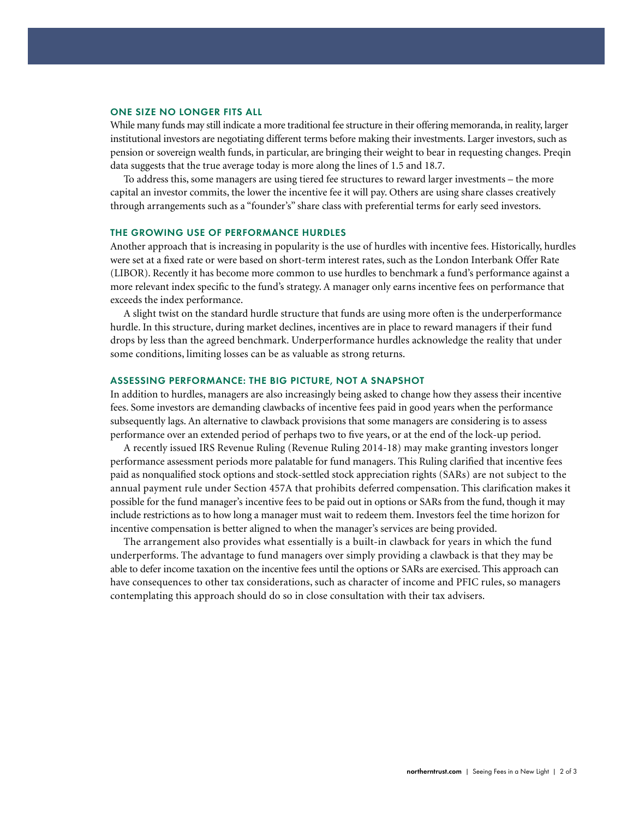### **ONE SIZE NO LONGER FITS ALL**

While many funds may still indicate a more traditional fee structure in their offering memoranda, in reality, larger institutional investors are negotiating different terms before making their investments. Larger investors, such as pension or sovereign wealth funds, in particular, are bringing their weight to bear in requesting changes. Preqin data suggests that the true average today is more along the lines of 1.5 and 18.7.

To address this, some managers are using tiered fee structures to reward larger investments – the more capital an investor commits, the lower the incentive fee it will pay. Others are using share classes creatively through arrangements such as a "founder's" share class with preferential terms for early seed investors.

#### **THE GROWING USE OF PERFORMANCE HURDLES**

Another approach that is increasing in popularity is the use of hurdles with incentive fees. Historically, hurdles were set at a fixed rate or were based on short-term interest rates, such as the London Interbank Offer Rate (LIBOR). Recently it has become more common to use hurdles to benchmark a fund's performance against a more relevant index specific to the fund's strategy. A manager only earns incentive fees on performance that exceeds the index performance.

A slight twist on the standard hurdle structure that funds are using more often is the underperformance hurdle. In this structure, during market declines, incentives are in place to reward managers if their fund drops by less than the agreed benchmark. Underperformance hurdles acknowledge the reality that under some conditions, limiting losses can be as valuable as strong returns.

## **ASSESSING PERFORMANCE: THE BIG PICTURE, NOT A SNAPSHOT**

In addition to hurdles, managers are also increasingly being asked to change how they assess their incentive fees. Some investors are demanding clawbacks of incentive fees paid in good years when the performance subsequently lags. An alternative to clawback provisions that some managers are considering is to assess performance over an extended period of perhaps two to five years, or at the end of the lock-up period.

A recently issued IRS Revenue Ruling (Revenue Ruling 2014-18) may make granting investors longer performance assessment periods more palatable for fund managers. This Ruling clarified that incentive fees paid as nonqualified stock options and stock-settled stock appreciation rights (SARs) are not subject to the annual payment rule under Section 457A that prohibits deferred compensation. This clarification makes it possible for the fund manager's incentive fees to be paid out in options or SARs from the fund, though it may include restrictions as to how long a manager must wait to redeem them. Investors feel the time horizon for incentive compensation is better aligned to when the manager's services are being provided.

The arrangement also provides what essentially is a built-in clawback for years in which the fund underperforms. The advantage to fund managers over simply providing a clawback is that they may be able to defer income taxation on the incentive fees until the options or SARs are exercised. This approach can have consequences to other tax considerations, such as character of income and PFIC rules, so managers contemplating this approach should do so in close consultation with their tax advisers.